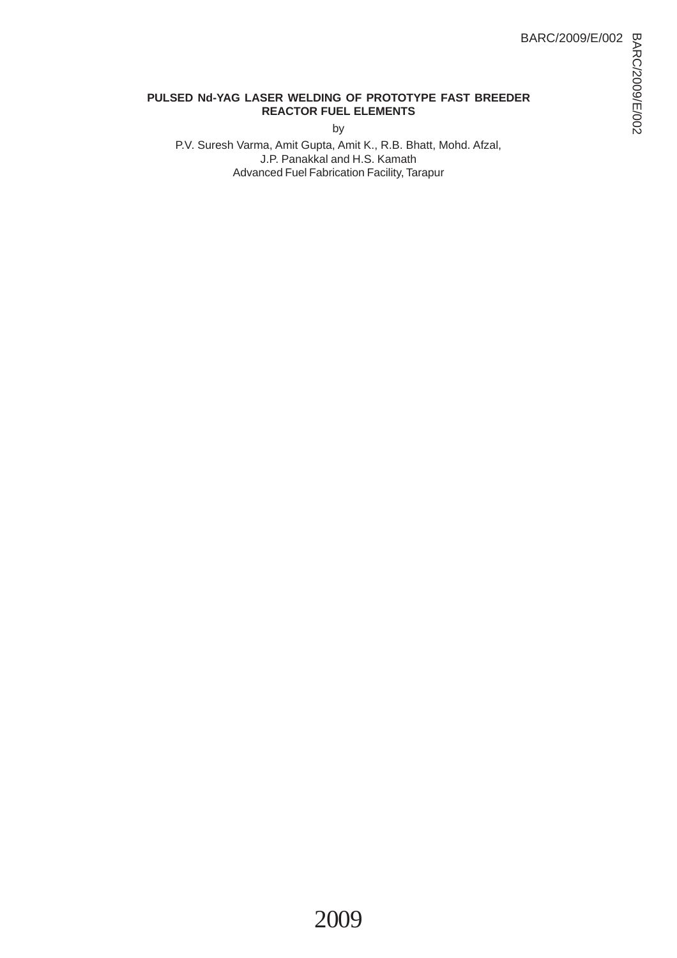### **PULSED Nd-YAG LASER WELDING OF PROTOTYPE FAST BREEDER REACTOR FUEL ELEMENTS**

by

P.V. Suresh Varma, Amit Gupta, Amit K., R.B. Bhatt, Mohd. Afzal, J.P. Panakkal and H.S. Kamath Advanced Fuel Fabrication Facility, Tarapur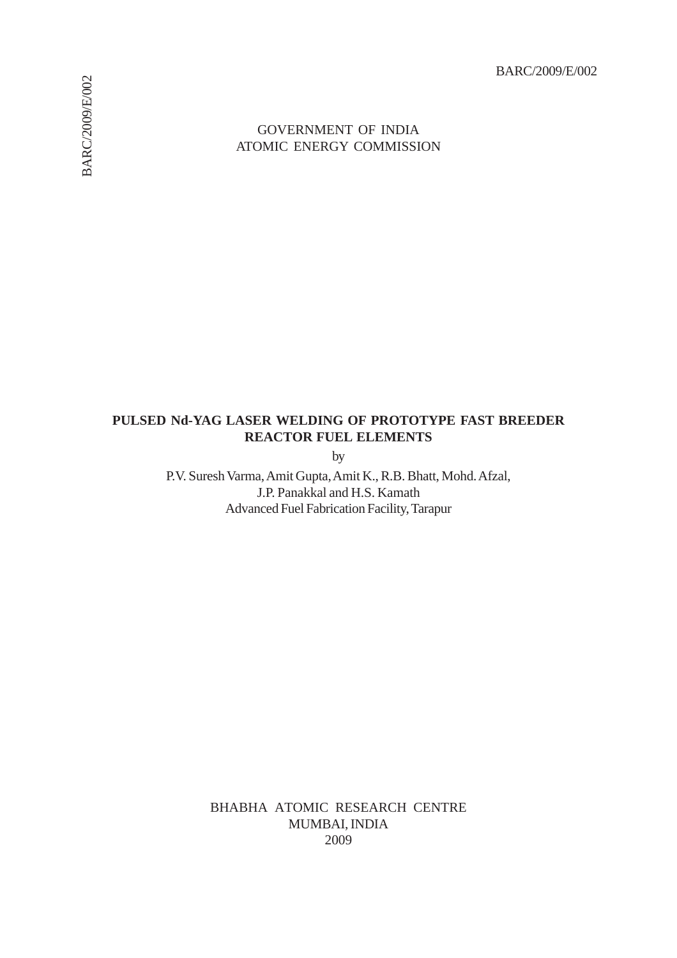BARC/2009/E/002

### GOVERNMENT OF INDIA ATOMIC ENERGY COMMISSION

## **PULSED Nd-YAG LASER WELDING OF PROTOTYPE FAST BREEDER REACTOR FUEL ELEMENTS**

by

P.V. Suresh Varma, Amit Gupta, Amit K., R.B. Bhatt, Mohd. Afzal, J.P. Panakkal and H.S. Kamath Advanced Fuel Fabrication Facility, Tarapur

> BHABHA ATOMIC RESEARCH CENTRE MUMBAI, INDIA 2009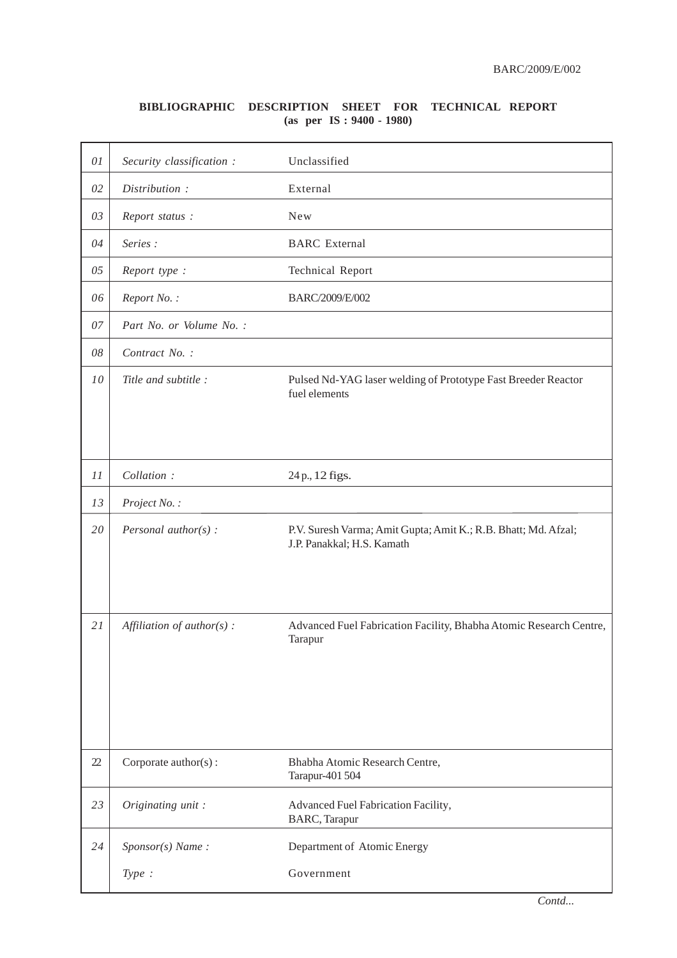### **BIBLIOGRAPHIC DESCRIPTION SHEET FOR TECHNICAL REPORT (as per IS : 9400 - 1980)**

| 01 | Security classification :    | Unclassified                                                                                 |
|----|------------------------------|----------------------------------------------------------------------------------------------|
| 02 | Distribution:                | External                                                                                     |
| 03 | Report status:               | <b>New</b>                                                                                   |
| 04 | Series:                      | <b>BARC</b> External                                                                         |
| 05 | Report type :                | <b>Technical Report</b>                                                                      |
| 06 | Report No.:                  | BARC/2009/E/002                                                                              |
| 07 | Part No. or Volume No. :     |                                                                                              |
| 08 | Contract No. :               |                                                                                              |
| 10 | Title and subtitle :         | Pulsed Nd-YAG laser welding of Prototype Fast Breeder Reactor<br>fuel elements               |
| 11 | Collation:                   | 24 p., 12 figs.                                                                              |
| 13 | Project No.:                 |                                                                                              |
| 20 | Personal author( $s$ ) :     | P.V. Suresh Varma; Amit Gupta; Amit K.; R.B. Bhatt; Md. Afzal;<br>J.P. Panakkal; H.S. Kamath |
| 21 | Affiliation of $author(s)$ : | Advanced Fuel Fabrication Facility, Bhabha Atomic Research Centre,<br>Tarapur                |
| 22 | Corporate author(s):         | Bhabha Atomic Research Centre,<br>Tarapur-401 504                                            |
| 23 | Originating unit:            | Advanced Fuel Fabrication Facility,<br><b>BARC</b> , Tarapur                                 |
| 24 | Sponsor(s) Name:             | Department of Atomic Energy                                                                  |
|    | Type:                        | Government                                                                                   |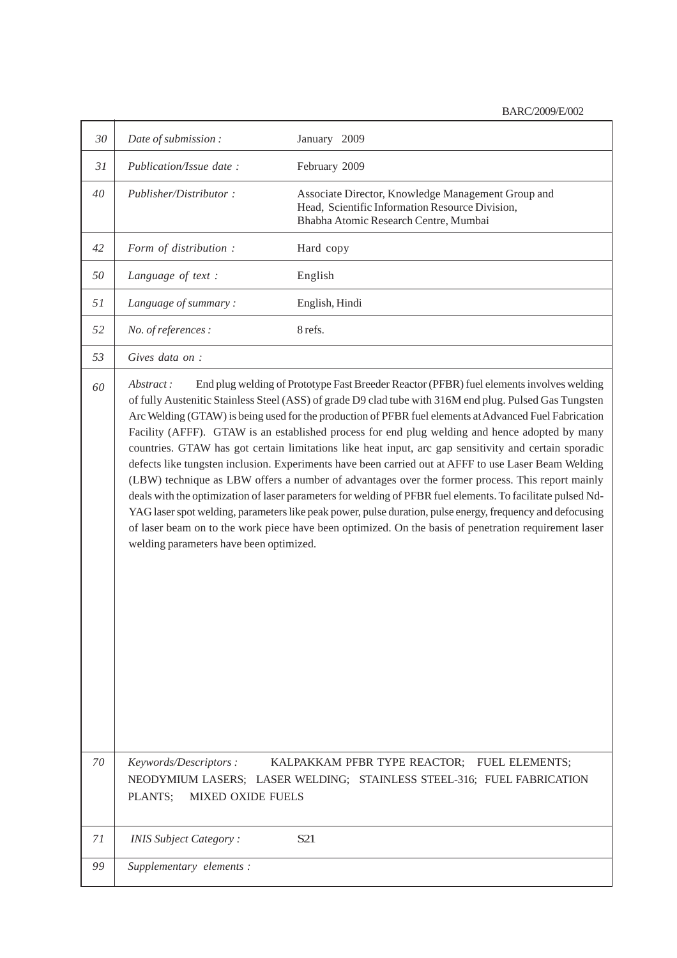| 30 | Date of submission:                                                                                                                                                                                                                                                                                                                                                                                                                                                                                                                                                                                                                                                                                                                                                                                                                                                                                                                                                                                                                                                                                                                | January 2009                                                                                                                                   |  |
|----|------------------------------------------------------------------------------------------------------------------------------------------------------------------------------------------------------------------------------------------------------------------------------------------------------------------------------------------------------------------------------------------------------------------------------------------------------------------------------------------------------------------------------------------------------------------------------------------------------------------------------------------------------------------------------------------------------------------------------------------------------------------------------------------------------------------------------------------------------------------------------------------------------------------------------------------------------------------------------------------------------------------------------------------------------------------------------------------------------------------------------------|------------------------------------------------------------------------------------------------------------------------------------------------|--|
| 31 | Publication/Issue date:                                                                                                                                                                                                                                                                                                                                                                                                                                                                                                                                                                                                                                                                                                                                                                                                                                                                                                                                                                                                                                                                                                            | February 2009                                                                                                                                  |  |
| 40 | Publisher/Distributor:                                                                                                                                                                                                                                                                                                                                                                                                                                                                                                                                                                                                                                                                                                                                                                                                                                                                                                                                                                                                                                                                                                             | Associate Director, Knowledge Management Group and<br>Head, Scientific Information Resource Division,<br>Bhabha Atomic Research Centre, Mumbai |  |
| 42 | Form of distribution :                                                                                                                                                                                                                                                                                                                                                                                                                                                                                                                                                                                                                                                                                                                                                                                                                                                                                                                                                                                                                                                                                                             | Hard copy                                                                                                                                      |  |
| 50 | Language of text :                                                                                                                                                                                                                                                                                                                                                                                                                                                                                                                                                                                                                                                                                                                                                                                                                                                                                                                                                                                                                                                                                                                 | English                                                                                                                                        |  |
| 51 | Language of summary:                                                                                                                                                                                                                                                                                                                                                                                                                                                                                                                                                                                                                                                                                                                                                                                                                                                                                                                                                                                                                                                                                                               | English, Hindi                                                                                                                                 |  |
| 52 | No. of references :                                                                                                                                                                                                                                                                                                                                                                                                                                                                                                                                                                                                                                                                                                                                                                                                                                                                                                                                                                                                                                                                                                                | 8 refs.                                                                                                                                        |  |
| 53 | Gives data on :                                                                                                                                                                                                                                                                                                                                                                                                                                                                                                                                                                                                                                                                                                                                                                                                                                                                                                                                                                                                                                                                                                                    |                                                                                                                                                |  |
| 60 | End plug welding of Prototype Fast Breeder Reactor (PFBR) fuel elements involves welding<br>Abstract:<br>of fully Austenitic Stainless Steel (ASS) of grade D9 clad tube with 316M end plug. Pulsed Gas Tungsten<br>Arc Welding (GTAW) is being used for the production of PFBR fuel elements at Advanced Fuel Fabrication<br>Facility (AFFF). GTAW is an established process for end plug welding and hence adopted by many<br>countries. GTAW has got certain limitations like heat input, arc gap sensitivity and certain sporadic<br>defects like tungsten inclusion. Experiments have been carried out at AFFF to use Laser Beam Welding<br>(LBW) technique as LBW offers a number of advantages over the former process. This report mainly<br>deals with the optimization of laser parameters for welding of PFBR fuel elements. To facilitate pulsed Nd-<br>YAG laser spot welding, parameters like peak power, pulse duration, pulse energy, frequency and defocusing<br>of laser beam on to the work piece have been optimized. On the basis of penetration requirement laser<br>welding parameters have been optimized. |                                                                                                                                                |  |
| 70 | Keywords/Descriptors:<br><b>MIXED OXIDE FUELS</b><br>PLANTS;                                                                                                                                                                                                                                                                                                                                                                                                                                                                                                                                                                                                                                                                                                                                                                                                                                                                                                                                                                                                                                                                       | KALPAKKAM PFBR TYPE REACTOR; FUEL ELEMENTS;<br>NEODYMIUM LASERS; LASER WELDING; STAINLESS STEEL-316; FUEL FABRICATION                          |  |
| 71 | <b>INIS Subject Category:</b>                                                                                                                                                                                                                                                                                                                                                                                                                                                                                                                                                                                                                                                                                                                                                                                                                                                                                                                                                                                                                                                                                                      | S <sub>21</sub>                                                                                                                                |  |
| 99 | Supplementary elements:                                                                                                                                                                                                                                                                                                                                                                                                                                                                                                                                                                                                                                                                                                                                                                                                                                                                                                                                                                                                                                                                                                            |                                                                                                                                                |  |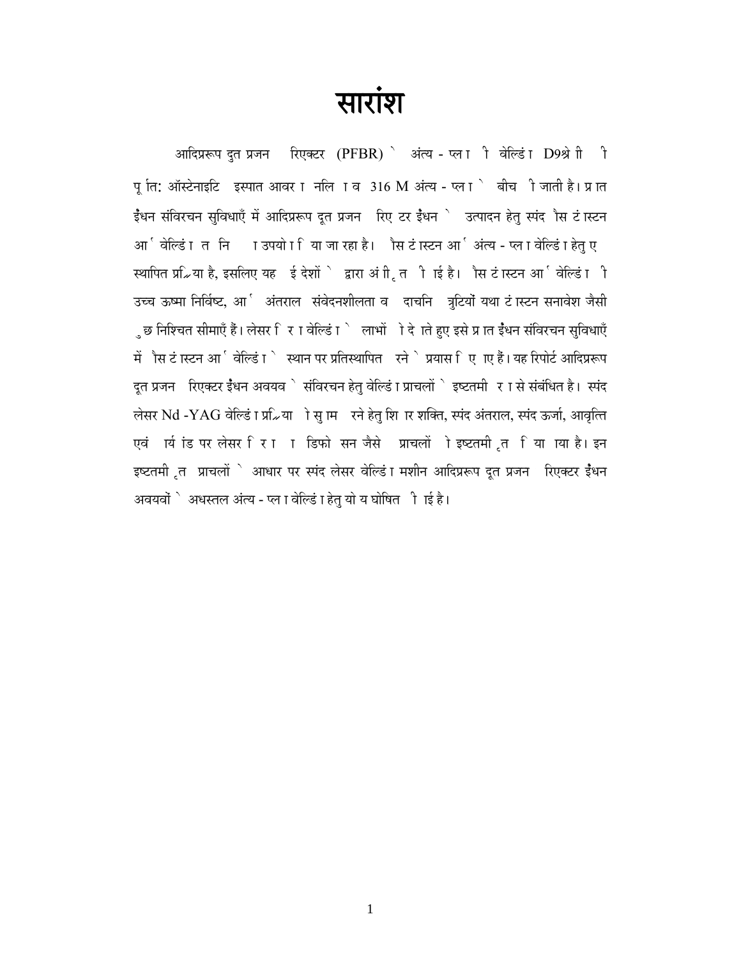**त्यारांश**<br>ब्लिं<br>अग्विप्ररूप दुत प्रजन सिएक्टर (PFBR) े अंत्य - प्लाी वेल्डिं I D9श्रेणी ी पू ति: ऑस्टेनाइटि इस्पात आवर ा नलि ⊺व 316 M अंत्य - प्ला ` बीच ी जाती है। प्रात  $\frac{1}{5}$ धन संविरचन सुविधाएँ में आदिप्ररूप दूत प्रजन करिए टर ईंधन े उत्पादन हेतु स्पंद ौस टं ास्टन आर्जिल्डिं । तनि गउपयो । िया जा रहा है। ौस टं ास्टन आ<sup>ष्</sup>अंत्य - प्ल । वेल्डिं । हेतु ए स्थापित प्र∡िया है, इसलिए यह ईदेशों े द्वारा अं ी, त ी ाई है। ौस टं ास्टन आ जिल्डिं ⊺ी उच्च ऊष्मा निर्विष्ट, आर्े अंतराल संवेदनशीलता व दाचनि त्रुटियों यथा टं ास्टन सनावेश जैसी ुछ निश्चित सीमाएँ हैं। लेसर िर ⊺वेल्डिं ⊺ेटलाभों ो देजते हुए इसे प्र ात ईंधन संविरचन सुविधाएँ ों ौस टं ास्टन आ ∫ वेल्डिं ा े स्थान पर प्रतिस्थापित रने े प्रयास िए ाए हैं। यह रिपोर्ट आदिप्ररूप  $\,$ दुत प्रजन $\,$  रिएक्टर ईंधन अवयव $\,$ े संविरचन हेत् वेल्डिं ा प्राचलों  $\,$ े इष्टतमी  $\,$  र ा से संबंधित है। स्पंद लेसर Nd -YAG वेल्डिं ा प्र2िया ो सु ाम रने हेतु शि ार शक्ति, स्पंद अंतराल, स्पंद ऊर्जा, आवृत्ति एवं ार्य iंड पर लेसर रिा ा डिफो सन जैसे प्राचलों ो इष्टतमी त या था है। इन इष्टतमी त प्राचलों ` आधार पर स्पंद लेसर वेल्डिं ा मशीन आदिप्ररूप दूत प्रजन ंरिएक्टर ईैधन अवयवों ` अधस्तल अंत्य - प्ल I वेल्डिं I हेत् यो य घोषित ी ।ई है।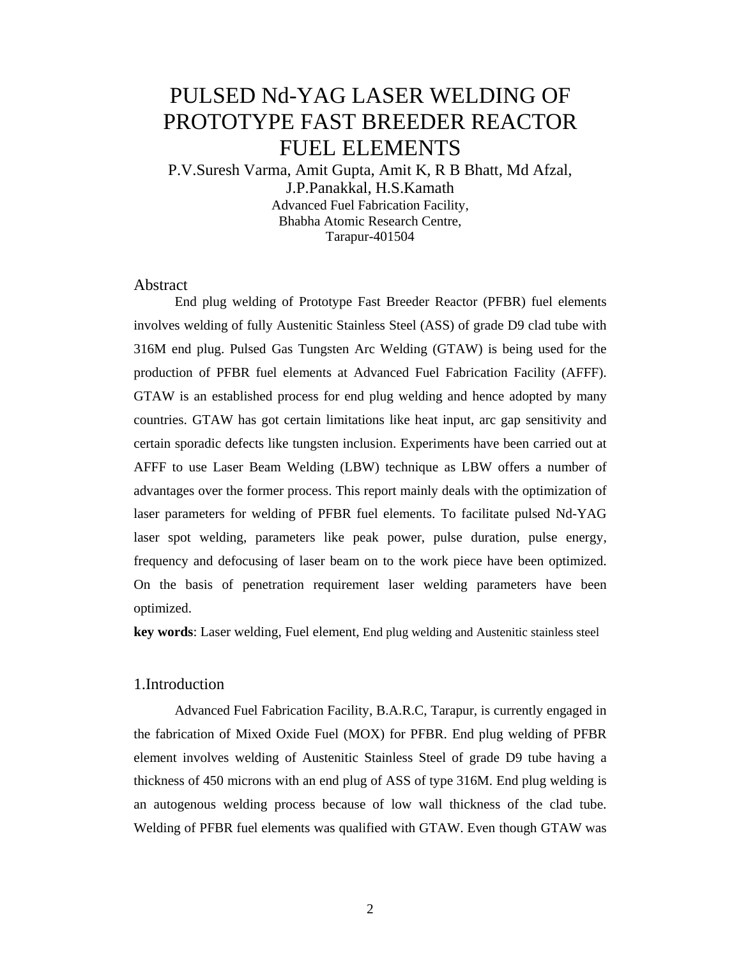# PULSED Nd-YAG LASER WELDING OF PROTOTYPE FAST BREEDER REACTOR FUEL ELEMENTS

P.V.Suresh Varma, Amit Gupta, Amit K, R B Bhatt, Md Afzal, J.P.Panakkal, H.S.Kamath Advanced Fuel Fabrication Facility, Bhabha Atomic Research Centre, Tarapur-401504

#### Abstract

End plug welding of Prototype Fast Breeder Reactor (PFBR) fuel elements involves welding of fully Austenitic Stainless Steel (ASS) of grade D9 clad tube with 316M end plug. Pulsed Gas Tungsten Arc Welding (GTAW) is being used for the production of PFBR fuel elements at Advanced Fuel Fabrication Facility (AFFF). GTAW is an established process for end plug welding and hence adopted by many countries. GTAW has got certain limitations like heat input, arc gap sensitivity and certain sporadic defects like tungsten inclusion. Experiments have been carried out at AFFF to use Laser Beam Welding (LBW) technique as LBW offers a number of advantages over the former process. This report mainly deals with the optimization of laser parameters for welding of PFBR fuel elements. To facilitate pulsed Nd-YAG laser spot welding, parameters like peak power, pulse duration, pulse energy, frequency and defocusing of laser beam on to the work piece have been optimized. On the basis of penetration requirement laser welding parameters have been optimized.

**key words**: Laser welding, Fuel element, End plug welding and Austenitic stainless steel

#### 1.Introduction

 Advanced Fuel Fabrication Facility, B.A.R.C, Tarapur, is currently engaged in the fabrication of Mixed Oxide Fuel (MOX) for PFBR. End plug welding of PFBR element involves welding of Austenitic Stainless Steel of grade D9 tube having a thickness of 450 microns with an end plug of ASS of type 316M. End plug welding is an autogenous welding process because of low wall thickness of the clad tube. Welding of PFBR fuel elements was qualified with GTAW. Even though GTAW was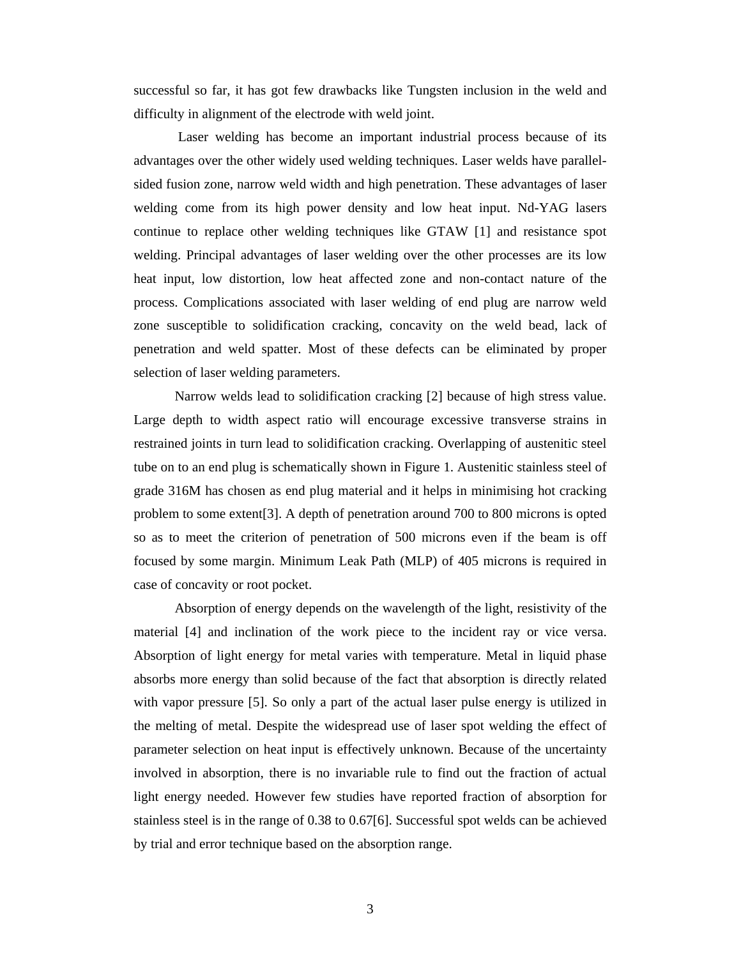successful so far, it has got few drawbacks like Tungsten inclusion in the weld and difficulty in alignment of the electrode with weld joint.

 Laser welding has become an important industrial process because of its advantages over the other widely used welding techniques. Laser welds have parallelsided fusion zone, narrow weld width and high penetration. These advantages of laser welding come from its high power density and low heat input. Nd-YAG lasers continue to replace other welding techniques like GTAW [1] and resistance spot welding. Principal advantages of laser welding over the other processes are its low heat input, low distortion, low heat affected zone and non-contact nature of the process. Complications associated with laser welding of end plug are narrow weld zone susceptible to solidification cracking, concavity on the weld bead, lack of penetration and weld spatter. Most of these defects can be eliminated by proper selection of laser welding parameters.

Narrow welds lead to solidification cracking [2] because of high stress value. Large depth to width aspect ratio will encourage excessive transverse strains in restrained joints in turn lead to solidification cracking. Overlapping of austenitic steel tube on to an end plug is schematically shown in Figure 1. Austenitic stainless steel of grade 316M has chosen as end plug material and it helps in minimising hot cracking problem to some extent[3]. A depth of penetration around 700 to 800 microns is opted so as to meet the criterion of penetration of 500 microns even if the beam is off focused by some margin. Minimum Leak Path (MLP) of 405 microns is required in case of concavity or root pocket.

Absorption of energy depends on the wavelength of the light, resistivity of the material [4] and inclination of the work piece to the incident ray or vice versa. Absorption of light energy for metal varies with temperature. Metal in liquid phase absorbs more energy than solid because of the fact that absorption is directly related with vapor pressure [5]. So only a part of the actual laser pulse energy is utilized in the melting of metal. Despite the widespread use of laser spot welding the effect of parameter selection on heat input is effectively unknown. Because of the uncertainty involved in absorption, there is no invariable rule to find out the fraction of actual light energy needed. However few studies have reported fraction of absorption for stainless steel is in the range of 0.38 to 0.67[6]. Successful spot welds can be achieved by trial and error technique based on the absorption range.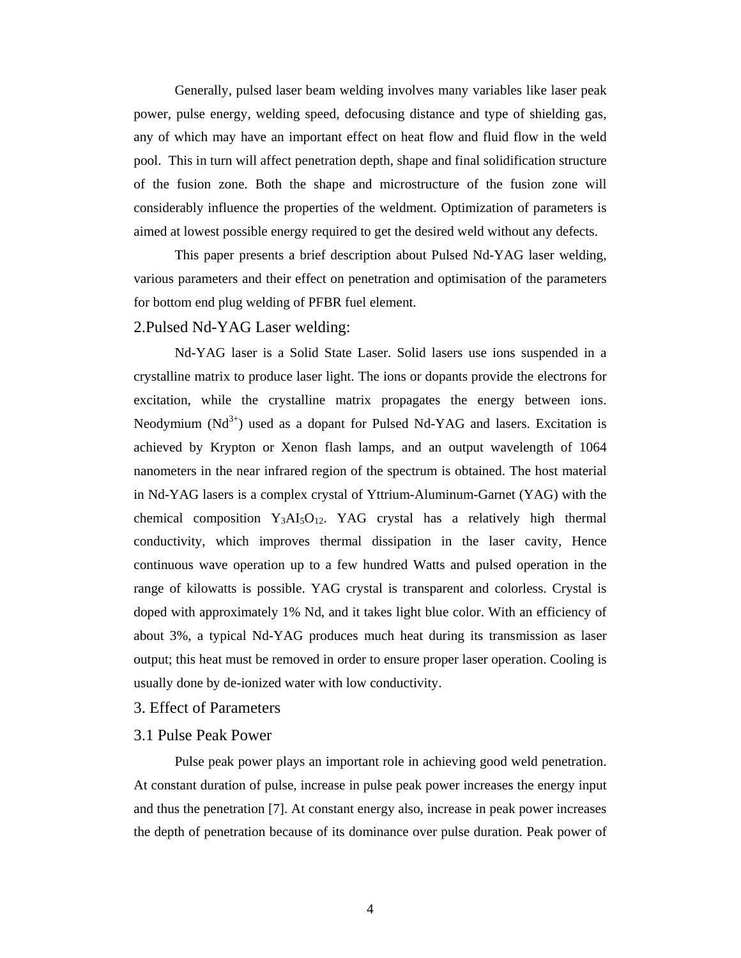Generally, pulsed laser beam welding involves many variables like laser peak power, pulse energy, welding speed, defocusing distance and type of shielding gas, any of which may have an important effect on heat flow and fluid flow in the weld pool. This in turn will affect penetration depth, shape and final solidification structure of the fusion zone. Both the shape and microstructure of the fusion zone will considerably influence the properties of the weldment. Optimization of parameters is aimed at lowest possible energy required to get the desired weld without any defects.

This paper presents a brief description about Pulsed Nd-YAG laser welding, various parameters and their effect on penetration and optimisation of the parameters for bottom end plug welding of PFBR fuel element.

#### 2.Pulsed Nd-YAG Laser welding:

Nd-YAG laser is a Solid State Laser. Solid lasers use ions suspended in a crystalline matrix to produce laser light. The ions or dopants provide the electrons for excitation, while the crystalline matrix propagates the energy between ions. Neodymium  $(Nd^{3+})$  used as a dopant for Pulsed Nd-YAG and lasers. Excitation is achieved by Krypton or Xenon flash lamps, and an output wavelength of 1064 nanometers in the near infrared region of the spectrum is obtained. The host material in Nd-YAG lasers is a complex crystal of Yttrium-Aluminum-Garnet (YAG) with the chemical composition  $Y_3AI_5O_{12}$ . YAG crystal has a relatively high thermal conductivity, which improves thermal dissipation in the laser cavity, Hence continuous wave operation up to a few hundred Watts and pulsed operation in the range of kilowatts is possible. YAG crystal is transparent and colorless. Crystal is doped with approximately 1% Nd, and it takes light blue color. With an efficiency of about 3%, a typical Nd-YAG produces much heat during its transmission as laser output; this heat must be removed in order to ensure proper laser operation. Cooling is usually done by de-ionized water with low conductivity.

3. Effect of Parameters

#### 3.1 Pulse Peak Power

 Pulse peak power plays an important role in achieving good weld penetration. At constant duration of pulse, increase in pulse peak power increases the energy input and thus the penetration [7]. At constant energy also, increase in peak power increases the depth of penetration because of its dominance over pulse duration. Peak power of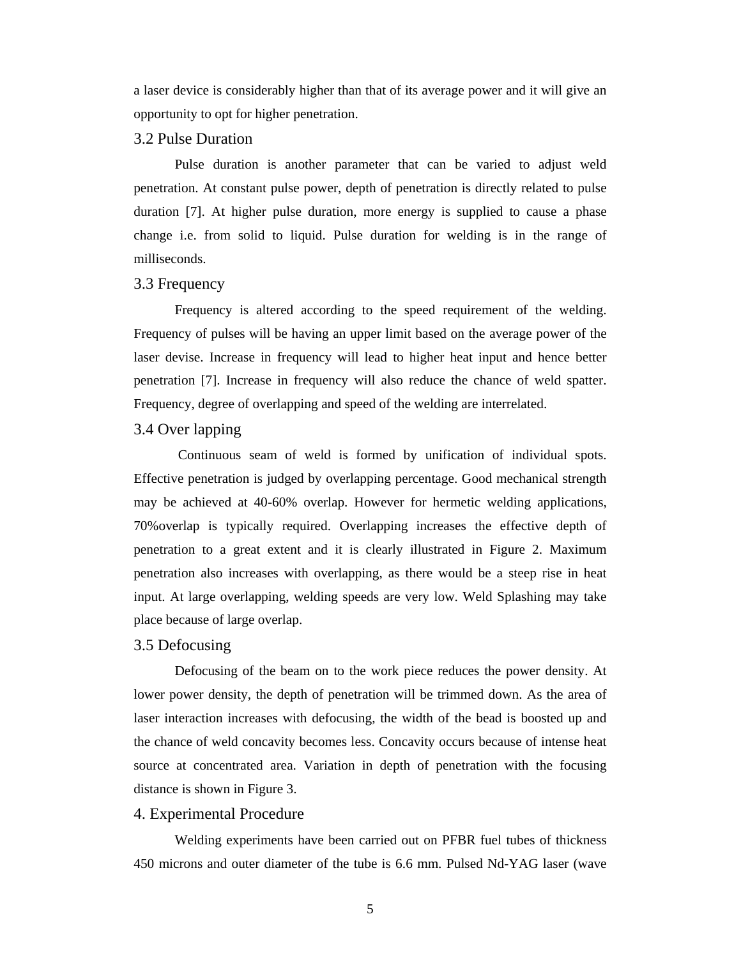a laser device is considerably higher than that of its average power and it will give an opportunity to opt for higher penetration.

#### 3.2 Pulse Duration

 Pulse duration is another parameter that can be varied to adjust weld penetration. At constant pulse power, depth of penetration is directly related to pulse duration [7]. At higher pulse duration, more energy is supplied to cause a phase change i.e. from solid to liquid. Pulse duration for welding is in the range of milliseconds.

#### 3.3 Frequency

 Frequency is altered according to the speed requirement of the welding. Frequency of pulses will be having an upper limit based on the average power of the laser devise. Increase in frequency will lead to higher heat input and hence better penetration [7]. Increase in frequency will also reduce the chance of weld spatter. Frequency, degree of overlapping and speed of the welding are interrelated.

#### 3.4 Over lapping

 Continuous seam of weld is formed by unification of individual spots. Effective penetration is judged by overlapping percentage. Good mechanical strength may be achieved at 40-60% overlap. However for hermetic welding applications, 70%overlap is typically required. Overlapping increases the effective depth of penetration to a great extent and it is clearly illustrated in Figure 2. Maximum penetration also increases with overlapping, as there would be a steep rise in heat input. At large overlapping, welding speeds are very low. Weld Splashing may take place because of large overlap.

#### 3.5 Defocusing

 Defocusing of the beam on to the work piece reduces the power density. At lower power density, the depth of penetration will be trimmed down. As the area of laser interaction increases with defocusing, the width of the bead is boosted up and the chance of weld concavity becomes less. Concavity occurs because of intense heat source at concentrated area. Variation in depth of penetration with the focusing distance is shown in Figure 3.

#### 4. Experimental Procedure

Welding experiments have been carried out on PFBR fuel tubes of thickness 450 microns and outer diameter of the tube is 6.6 mm. Pulsed Nd-YAG laser (wave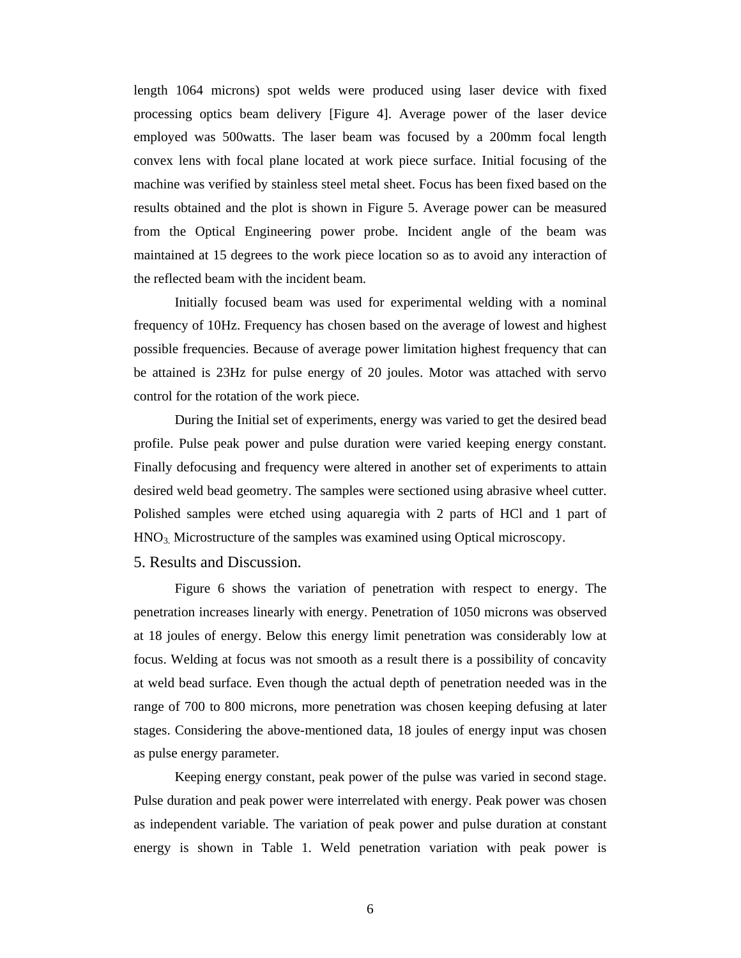length 1064 microns) spot welds were produced using laser device with fixed processing optics beam delivery [Figure 4]. Average power of the laser device employed was 500watts. The laser beam was focused by a 200mm focal length convex lens with focal plane located at work piece surface. Initial focusing of the machine was verified by stainless steel metal sheet. Focus has been fixed based on the results obtained and the plot is shown in Figure 5. Average power can be measured from the Optical Engineering power probe. Incident angle of the beam was maintained at 15 degrees to the work piece location so as to avoid any interaction of the reflected beam with the incident beam.

Initially focused beam was used for experimental welding with a nominal frequency of 10Hz. Frequency has chosen based on the average of lowest and highest possible frequencies. Because of average power limitation highest frequency that can be attained is 23Hz for pulse energy of 20 joules. Motor was attached with servo control for the rotation of the work piece.

During the Initial set of experiments, energy was varied to get the desired bead profile. Pulse peak power and pulse duration were varied keeping energy constant. Finally defocusing and frequency were altered in another set of experiments to attain desired weld bead geometry. The samples were sectioned using abrasive wheel cutter. Polished samples were etched using aquaregia with 2 parts of HCl and 1 part of HNO3. Microstructure of the samples was examined using Optical microscopy.

5. Results and Discussion.

 Figure 6 shows the variation of penetration with respect to energy. The penetration increases linearly with energy. Penetration of 1050 microns was observed at 18 joules of energy. Below this energy limit penetration was considerably low at focus. Welding at focus was not smooth as a result there is a possibility of concavity at weld bead surface. Even though the actual depth of penetration needed was in the range of 700 to 800 microns, more penetration was chosen keeping defusing at later stages. Considering the above-mentioned data, 18 joules of energy input was chosen as pulse energy parameter.

 Keeping energy constant, peak power of the pulse was varied in second stage. Pulse duration and peak power were interrelated with energy. Peak power was chosen as independent variable. The variation of peak power and pulse duration at constant energy is shown in Table 1. Weld penetration variation with peak power is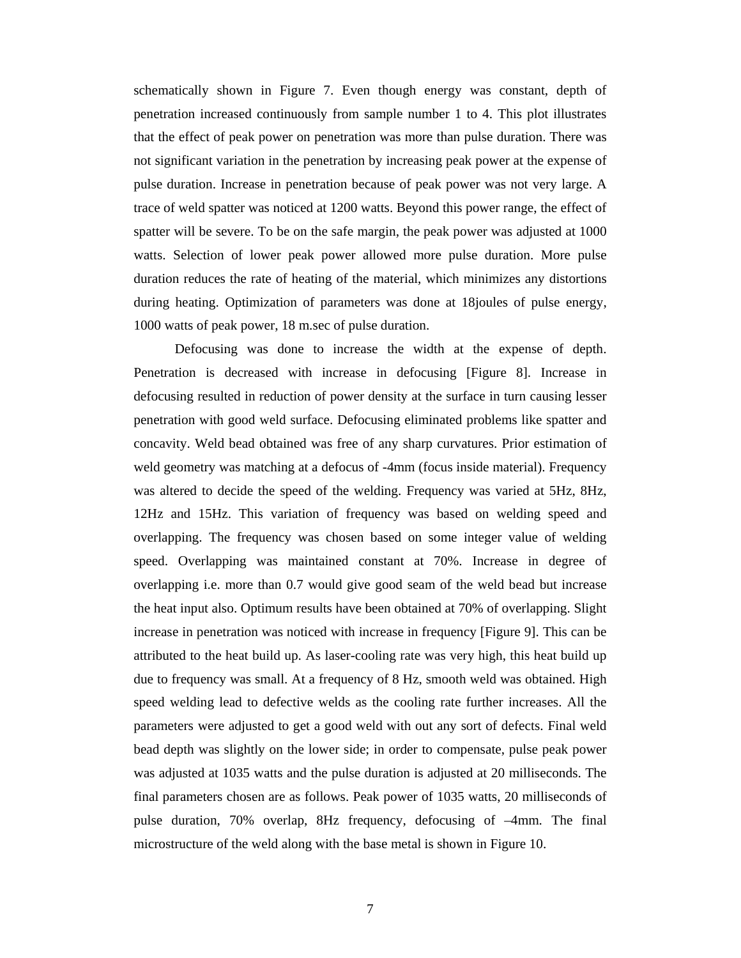schematically shown in Figure 7. Even though energy was constant, depth of penetration increased continuously from sample number 1 to 4. This plot illustrates that the effect of peak power on penetration was more than pulse duration. There was not significant variation in the penetration by increasing peak power at the expense of pulse duration. Increase in penetration because of peak power was not very large. A trace of weld spatter was noticed at 1200 watts. Beyond this power range, the effect of spatter will be severe. To be on the safe margin, the peak power was adjusted at 1000 watts. Selection of lower peak power allowed more pulse duration. More pulse duration reduces the rate of heating of the material, which minimizes any distortions during heating. Optimization of parameters was done at 18joules of pulse energy, 1000 watts of peak power, 18 m.sec of pulse duration.

 Defocusing was done to increase the width at the expense of depth. Penetration is decreased with increase in defocusing [Figure 8]. Increase in defocusing resulted in reduction of power density at the surface in turn causing lesser penetration with good weld surface. Defocusing eliminated problems like spatter and concavity. Weld bead obtained was free of any sharp curvatures. Prior estimation of weld geometry was matching at a defocus of -4mm (focus inside material). Frequency was altered to decide the speed of the welding. Frequency was varied at 5Hz, 8Hz, 12Hz and 15Hz. This variation of frequency was based on welding speed and overlapping. The frequency was chosen based on some integer value of welding speed. Overlapping was maintained constant at 70%. Increase in degree of overlapping i.e. more than 0.7 would give good seam of the weld bead but increase the heat input also. Optimum results have been obtained at 70% of overlapping. Slight increase in penetration was noticed with increase in frequency [Figure 9]. This can be attributed to the heat build up. As laser-cooling rate was very high, this heat build up due to frequency was small. At a frequency of 8 Hz, smooth weld was obtained. High speed welding lead to defective welds as the cooling rate further increases. All the parameters were adjusted to get a good weld with out any sort of defects. Final weld bead depth was slightly on the lower side; in order to compensate, pulse peak power was adjusted at 1035 watts and the pulse duration is adjusted at 20 milliseconds. The final parameters chosen are as follows. Peak power of 1035 watts, 20 milliseconds of pulse duration, 70% overlap, 8Hz frequency, defocusing of –4mm. The final microstructure of the weld along with the base metal is shown in Figure 10.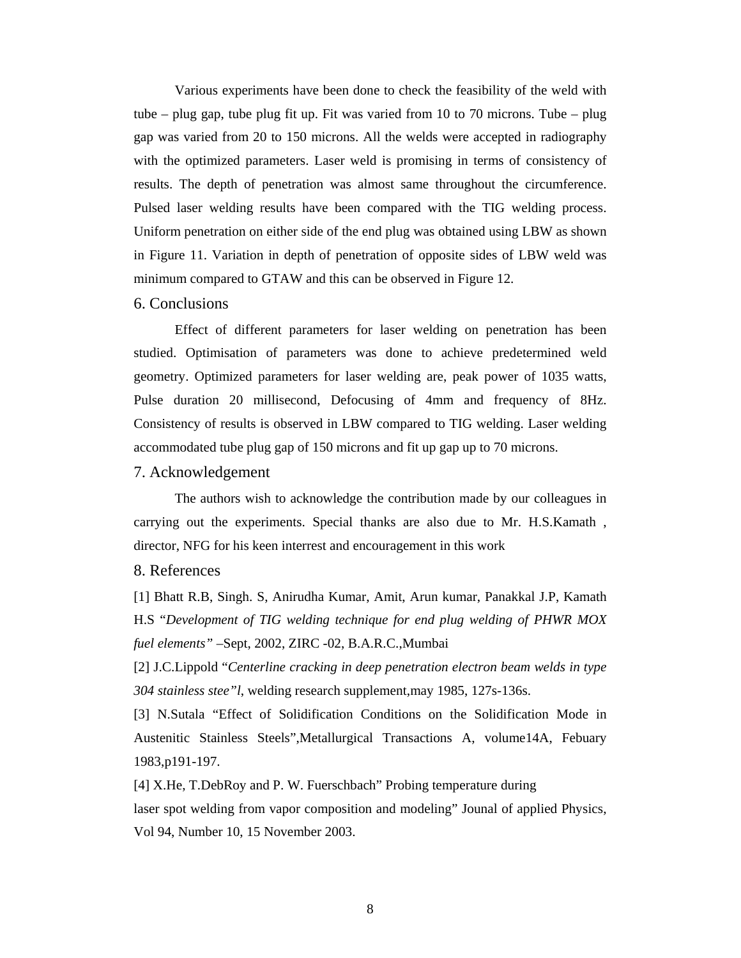Various experiments have been done to check the feasibility of the weld with tube – plug gap, tube plug fit up. Fit was varied from 10 to 70 microns. Tube – plug gap was varied from 20 to 150 microns. All the welds were accepted in radiography with the optimized parameters. Laser weld is promising in terms of consistency of results. The depth of penetration was almost same throughout the circumference. Pulsed laser welding results have been compared with the TIG welding process. Uniform penetration on either side of the end plug was obtained using LBW as shown in Figure 11. Variation in depth of penetration of opposite sides of LBW weld was minimum compared to GTAW and this can be observed in Figure 12.

#### 6. Conclusions

Effect of different parameters for laser welding on penetration has been studied. Optimisation of parameters was done to achieve predetermined weld geometry. Optimized parameters for laser welding are, peak power of 1035 watts, Pulse duration 20 millisecond, Defocusing of 4mm and frequency of 8Hz. Consistency of results is observed in LBW compared to TIG welding. Laser welding accommodated tube plug gap of 150 microns and fit up gap up to 70 microns.

#### 7. Acknowledgement

The authors wish to acknowledge the contribution made by our colleagues in carrying out the experiments. Special thanks are also due to Mr. H.S.Kamath , director, NFG for his keen interrest and encouragement in this work

#### 8. References

[1] Bhatt R.B, Singh. S, Anirudha Kumar, Amit, Arun kumar, Panakkal J.P, Kamath H.S "*Development of TIG welding technique for end plug welding of PHWR MOX fuel elements"* –Sept, 2002, ZIRC -02, B.A.R.C.,Mumbai

[2] J.C.Lippold "*Centerline cracking in deep penetration electron beam welds in type 304 stainless stee"l*, welding research supplement,may 1985, 127s-136s.

[3] N.Sutala "Effect of Solidification Conditions on the Solidification Mode in Austenitic Stainless Steels",Metallurgical Transactions A, volume14A, Febuary 1983,p191-197.

[4] X.He, T.DebRoy and P. W. Fuerschbach" Probing temperature during laser spot welding from vapor composition and modeling" Jounal of applied Physics, Vol 94, Number 10, 15 November 2003.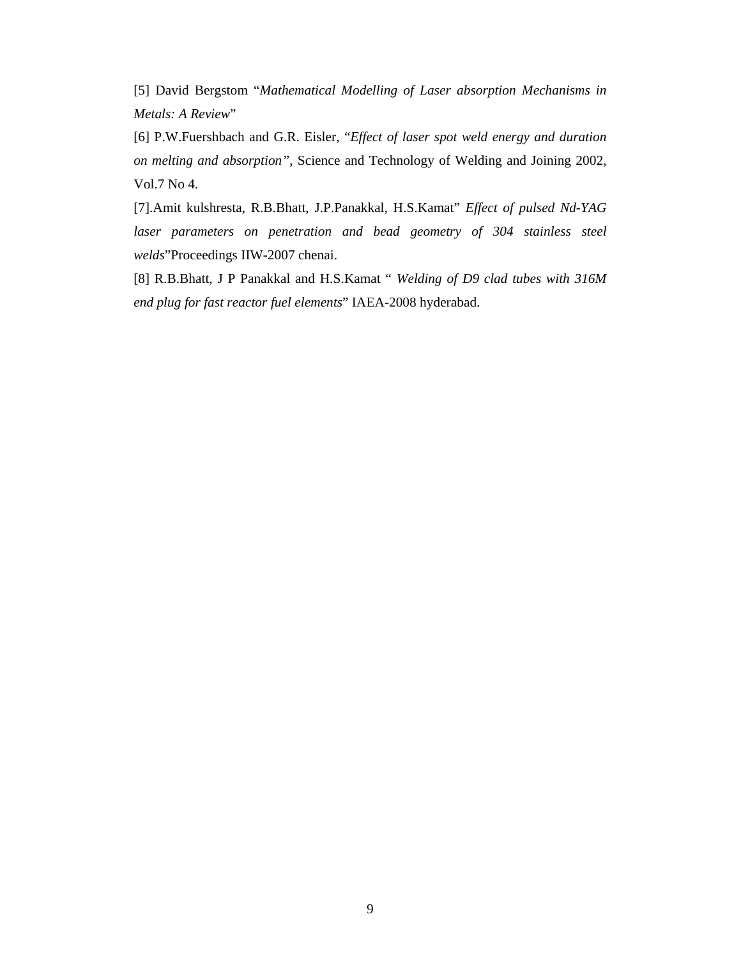[5] David Bergstom "*Mathematical Modelling of Laser absorption Mechanisms in Metals: A Review*"

[6] P.W.Fuershbach and G.R. Eisler, "*Effect of laser spot weld energy and duration on melting and absorption"*, Science and Technology of Welding and Joining 2002, Vol.7 No 4.

[7].Amit kulshresta, R.B.Bhatt, J.P.Panakkal, H.S.Kamat" *Effect of pulsed Nd-YAG laser parameters on penetration and bead geometry of 304 stainless steel welds*"Proceedings IIW-2007 chenai.

[8] R.B.Bhatt, J P Panakkal and H.S.Kamat " *Welding of D9 clad tubes with 316M end plug for fast reactor fuel elements*" IAEA-2008 hyderabad.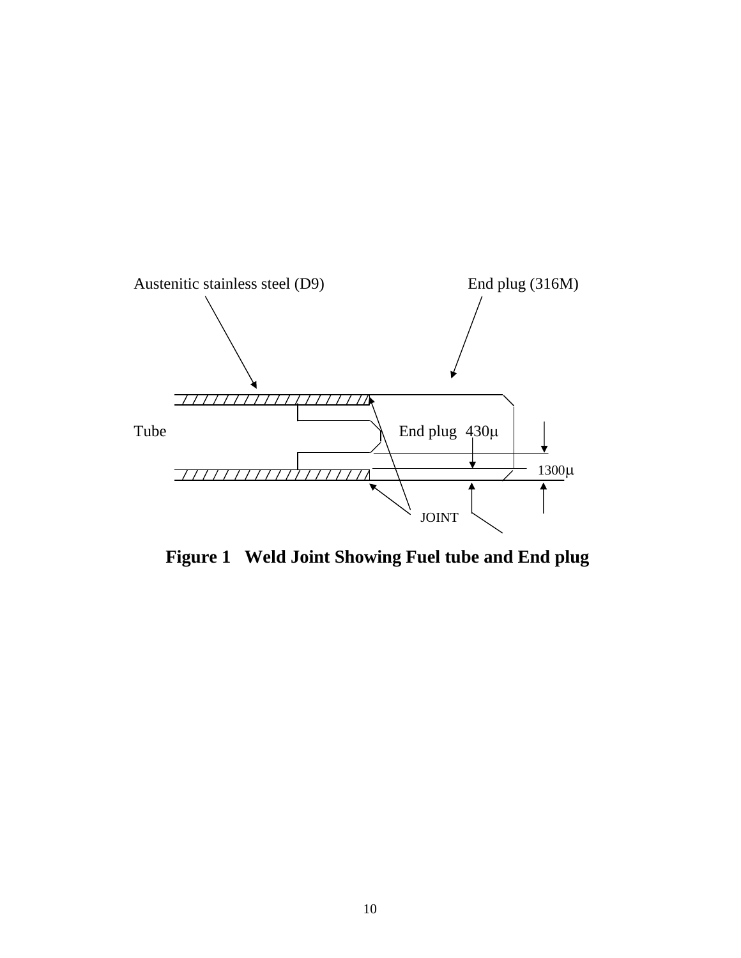

 **Figure 1 Weld Joint Showing Fuel tube and End plug**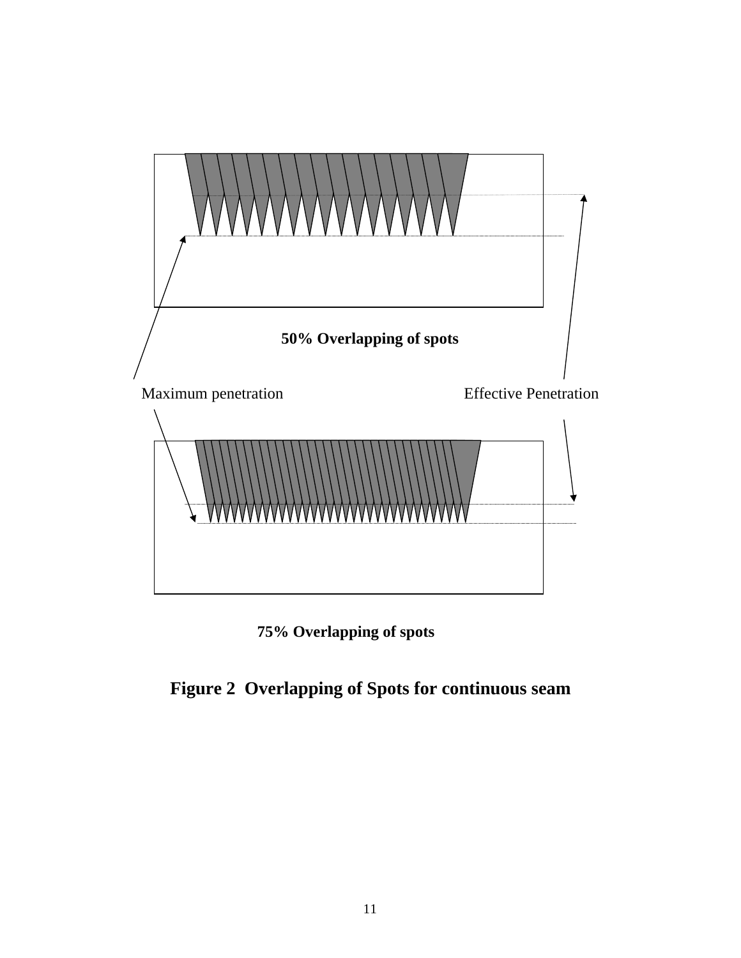

![](_page_14_Figure_1.jpeg)

# **Figure 2 Overlapping of Spots for continuous seam**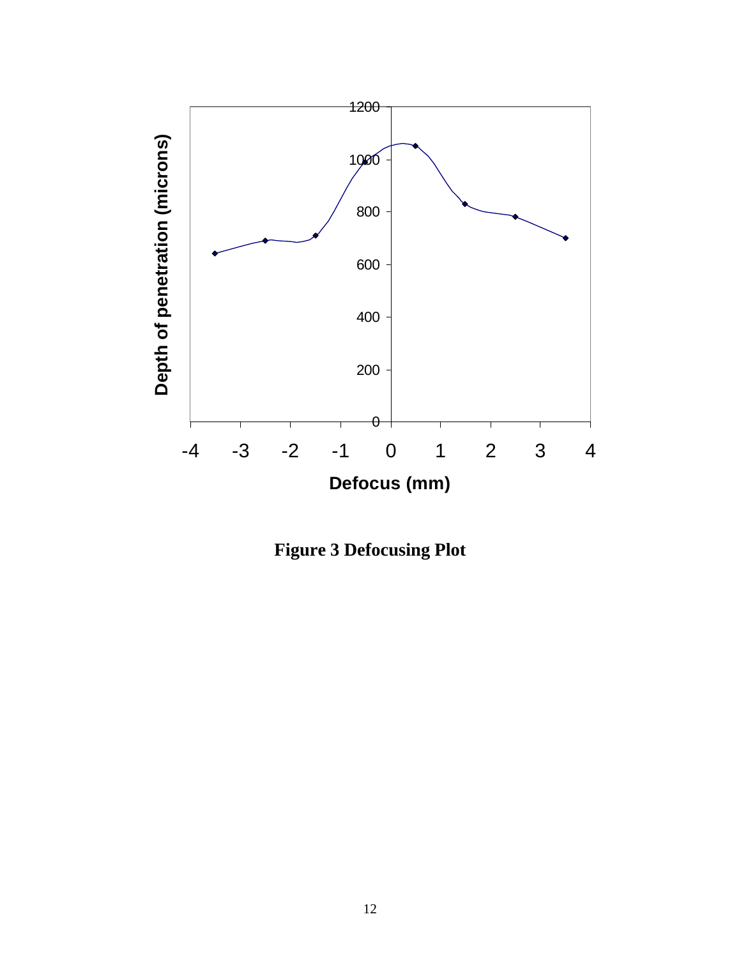![](_page_15_Figure_0.jpeg)

**Figure 3 Defocusing Plot**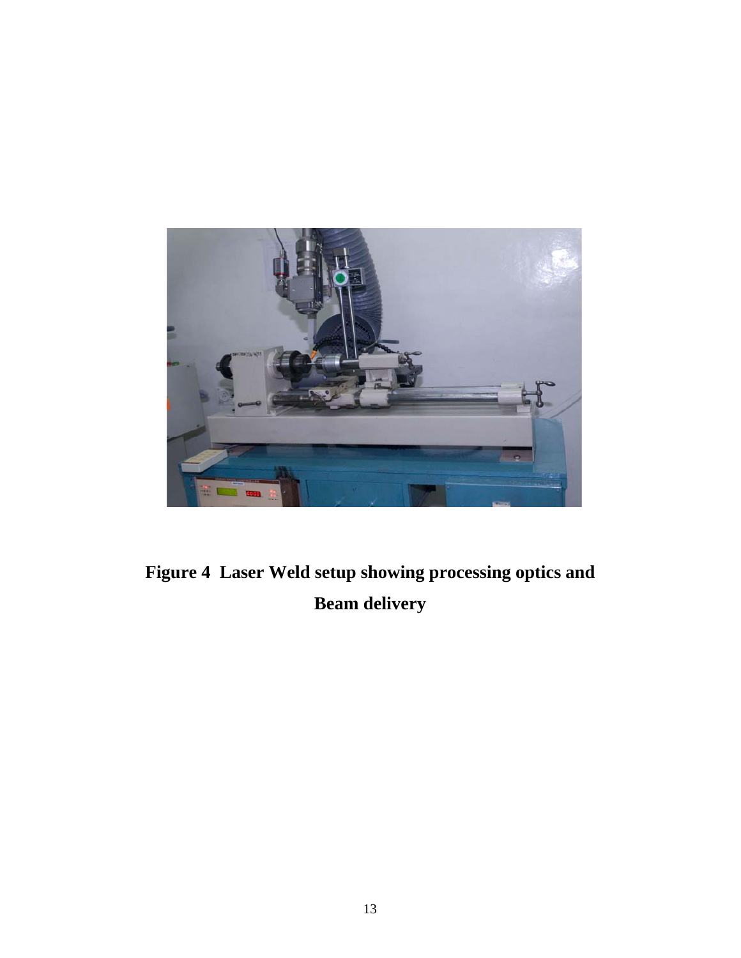![](_page_16_Picture_0.jpeg)

**Figure 4 Laser Weld setup showing processing optics and Beam delivery**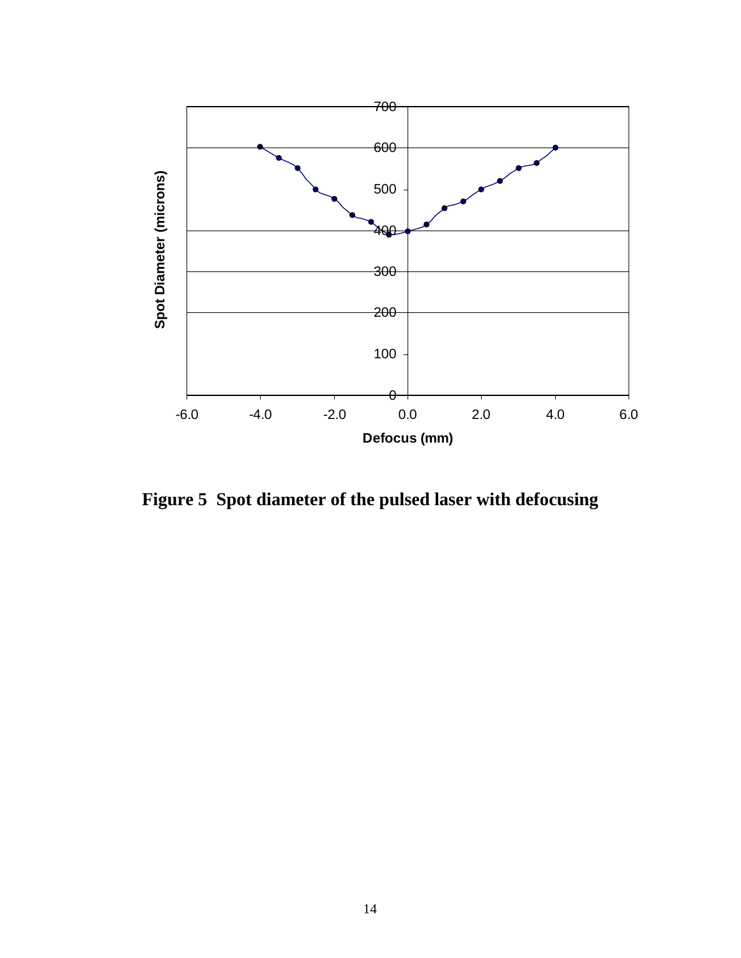![](_page_17_Figure_0.jpeg)

**Figure 5 Spot diameter of the pulsed laser with defocusing**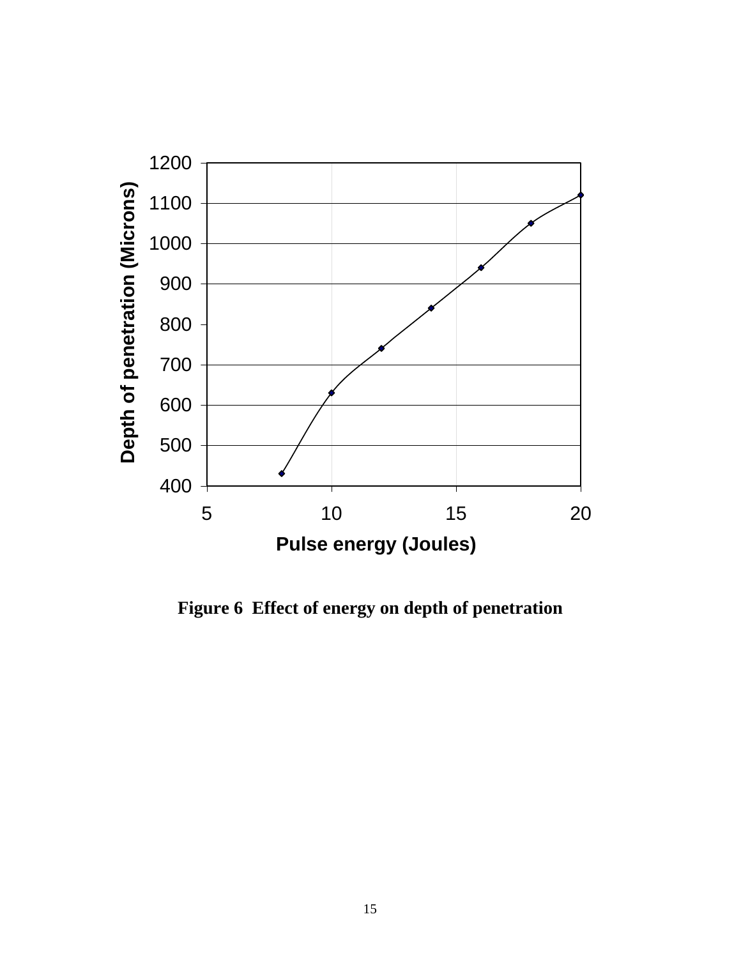![](_page_18_Figure_0.jpeg)

**Figure 6 Effect of energy on depth of penetration**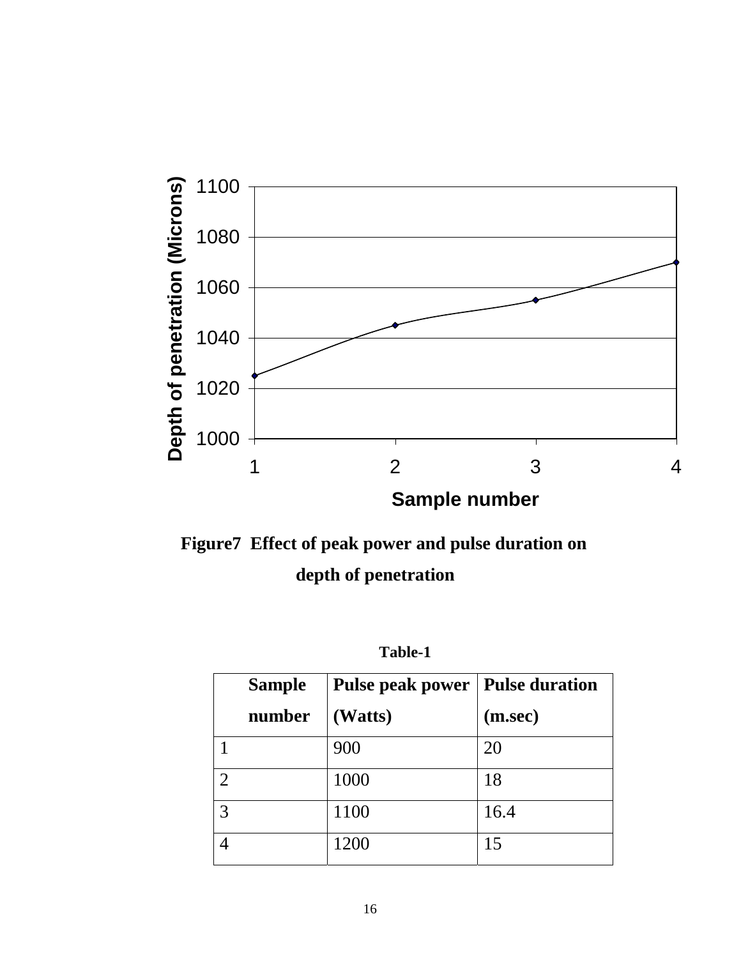![](_page_19_Figure_0.jpeg)

![](_page_19_Figure_1.jpeg)

 **Table-1** 

|   | <b>Sample</b> | <b>Pulse peak power   Pulse duration</b> |         |
|---|---------------|------------------------------------------|---------|
|   | number        | (Watts)                                  | (m/sec) |
|   |               | 900                                      | 20      |
| 2 |               | 1000                                     | 18      |
| 3 |               | 1100                                     | 16.4    |
|   |               | 1200                                     | 15      |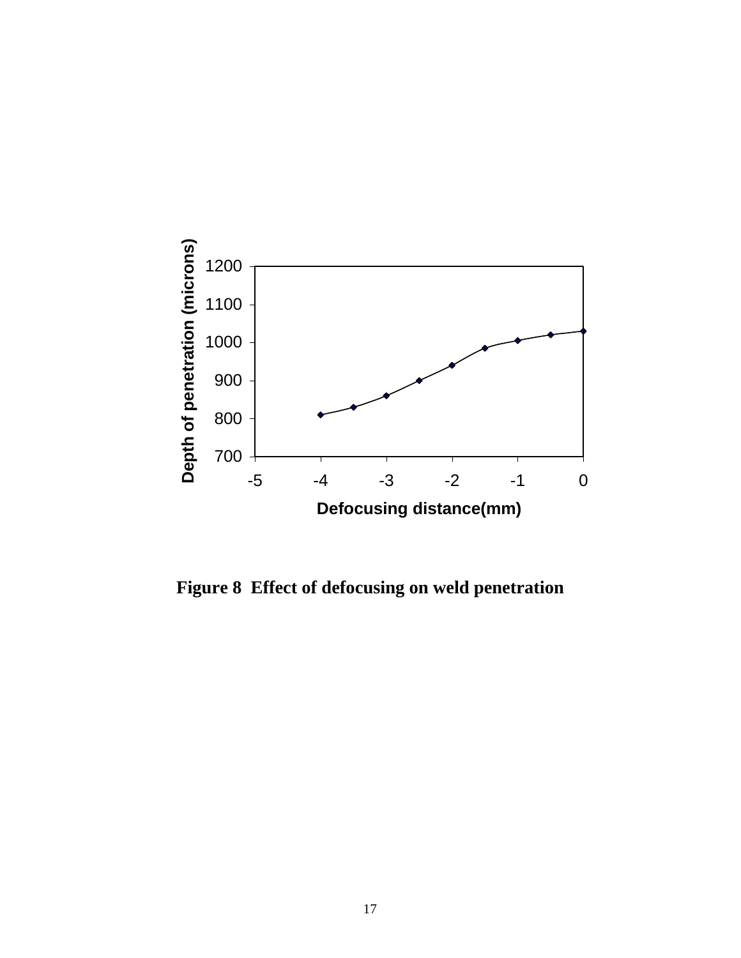![](_page_20_Figure_0.jpeg)

**Figure 8 Effect of defocusing on weld penetration**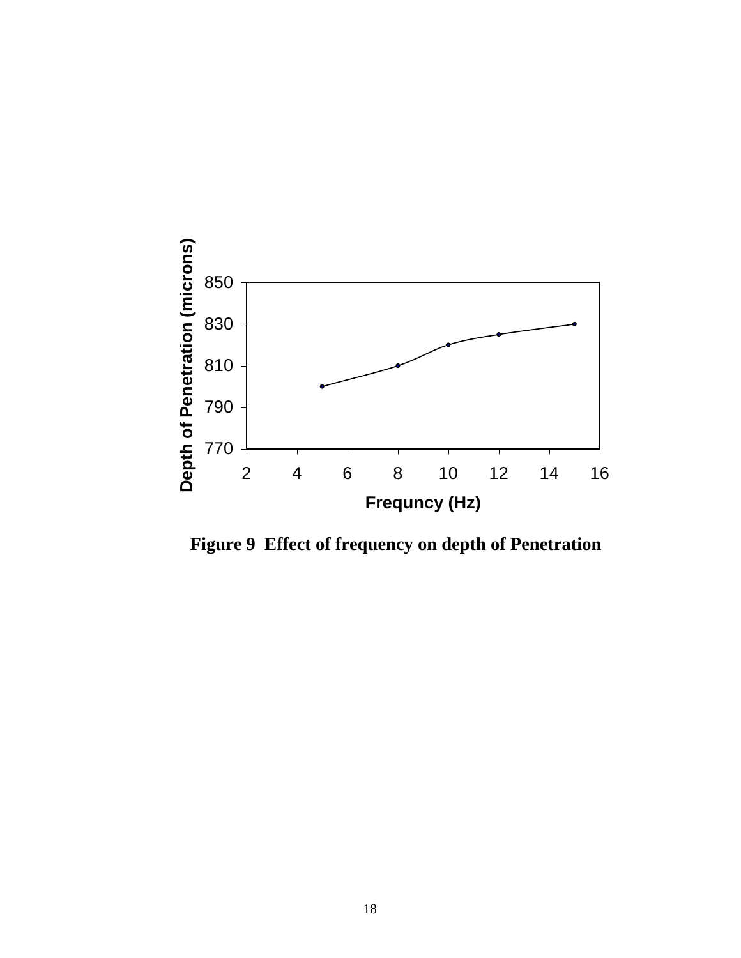![](_page_21_Figure_0.jpeg)

**Figure 9 Effect of frequency on depth of Penetration**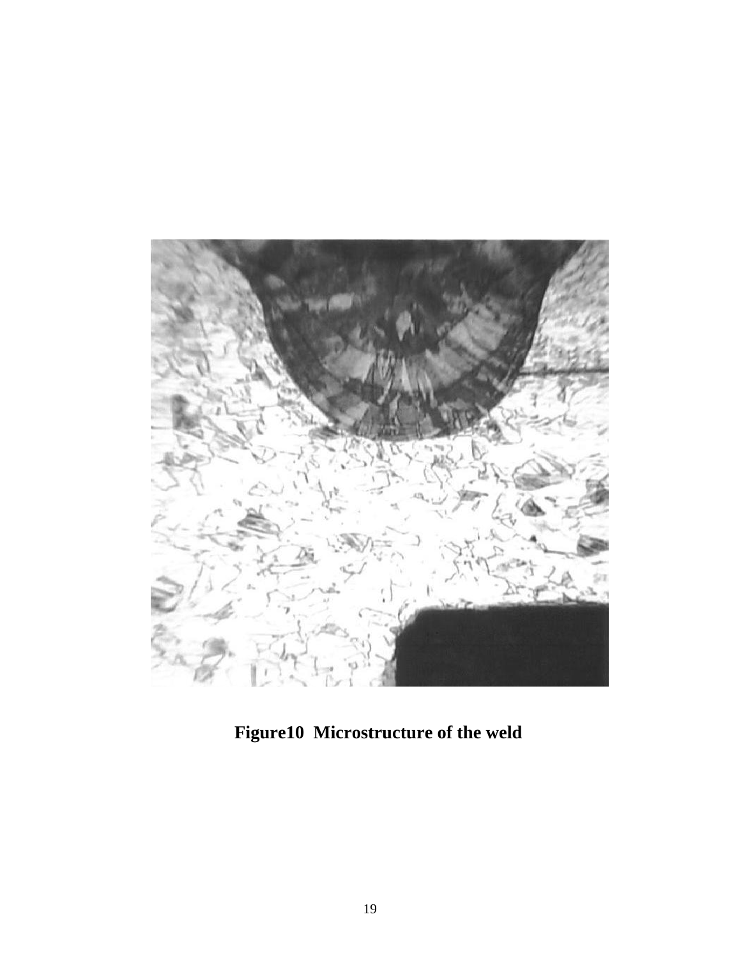![](_page_22_Picture_0.jpeg)

**Figure10 Microstructure of the weld**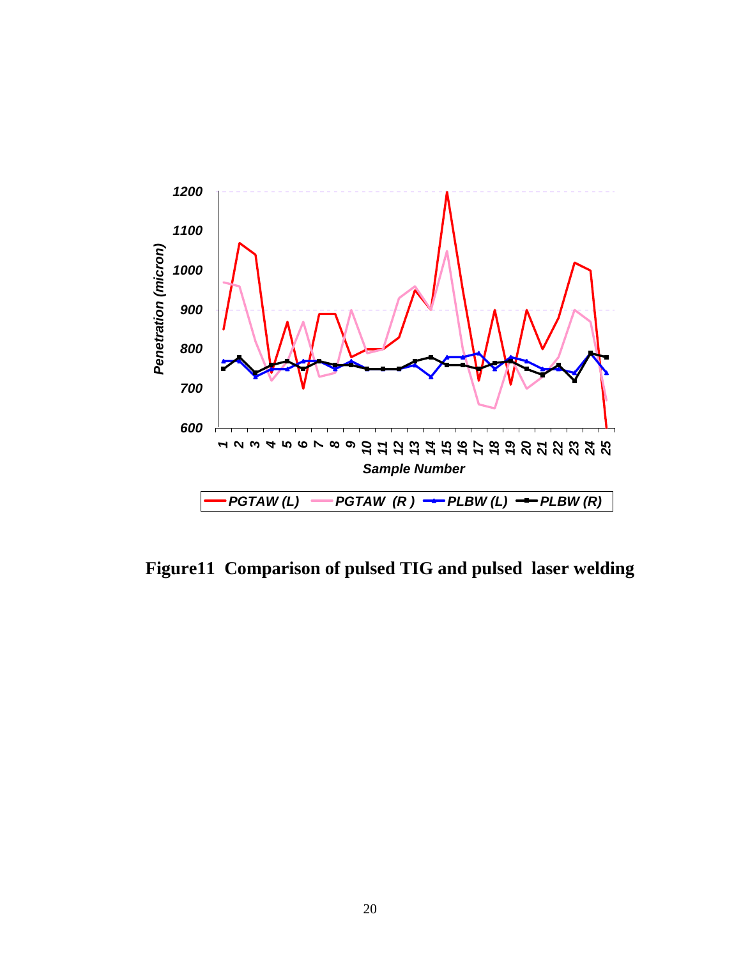![](_page_23_Figure_0.jpeg)

**Figure11 Comparison of pulsed TIG and pulsed laser welding**